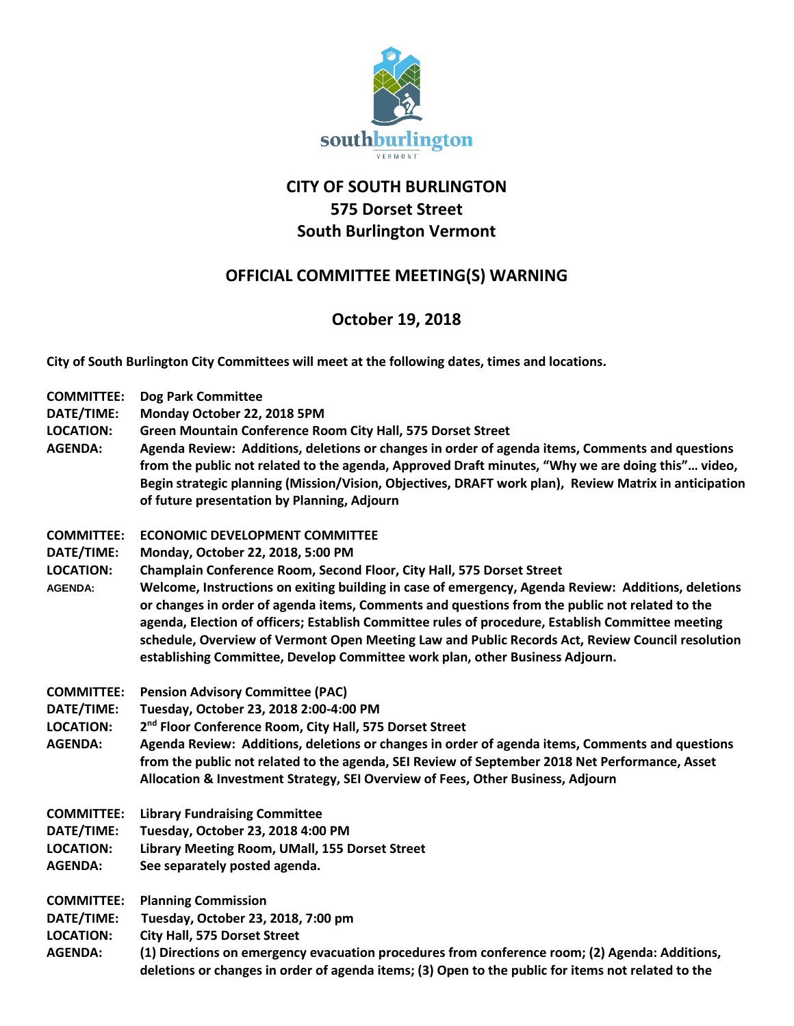

## **CITY OF SOUTH BURLINGTON 575 Dorset Street South Burlington Vermont**

## **OFFICIAL COMMITTEE MEETING(S) WARNING**

## **October 19, 2018**

**City of South Burlington City Committees will meet at the following dates, times and locations.** 

| <b>COMMITTEE:</b><br>DATE/TIME:<br><b>LOCATION:</b><br><b>AGENDA:</b> | <b>Dog Park Committee</b><br>Monday October 22, 2018 5PM<br>Green Mountain Conference Room City Hall, 575 Dorset Street<br>Agenda Review: Additions, deletions or changes in order of agenda items, Comments and questions<br>from the public not related to the agenda, Approved Draft minutes, "Why we are doing this" video,<br>Begin strategic planning (Mission/Vision, Objectives, DRAFT work plan), Review Matrix in anticipation<br>of future presentation by Planning, Adjourn                                                                                                                                                               |
|-----------------------------------------------------------------------|-------------------------------------------------------------------------------------------------------------------------------------------------------------------------------------------------------------------------------------------------------------------------------------------------------------------------------------------------------------------------------------------------------------------------------------------------------------------------------------------------------------------------------------------------------------------------------------------------------------------------------------------------------|
| <b>COMMITTEE:</b><br>DATE/TIME:<br><b>LOCATION:</b><br><b>AGENDA:</b> | <b>ECONOMIC DEVELOPMENT COMMITTEE</b><br>Monday, October 22, 2018, 5:00 PM<br>Champlain Conference Room, Second Floor, City Hall, 575 Dorset Street<br>Welcome, Instructions on exiting building in case of emergency, Agenda Review: Additions, deletions<br>or changes in order of agenda items, Comments and questions from the public not related to the<br>agenda, Election of officers; Establish Committee rules of procedure, Establish Committee meeting<br>schedule, Overview of Vermont Open Meeting Law and Public Records Act, Review Council resolution<br>establishing Committee, Develop Committee work plan, other Business Adjourn. |
| <b>COMMITTEE:</b><br>DATE/TIME:<br><b>LOCATION:</b><br><b>AGENDA:</b> | <b>Pension Advisory Committee (PAC)</b><br>Tuesday, October 23, 2018 2:00-4:00 PM<br>2 <sup>nd</sup> Floor Conference Room, City Hall, 575 Dorset Street<br>Agenda Review: Additions, deletions or changes in order of agenda items, Comments and questions<br>from the public not related to the agenda, SEI Review of September 2018 Net Performance, Asset<br>Allocation & Investment Strategy, SEI Overview of Fees, Other Business, Adjourn                                                                                                                                                                                                      |
| <b>COMMITTEE:</b><br>DATE/TIME:<br><b>LOCATION:</b><br><b>AGENDA:</b> | <b>Library Fundraising Committee</b><br>Tuesday, October 23, 2018 4:00 PM<br>Library Meeting Room, UMall, 155 Dorset Street<br>See separately posted agenda.                                                                                                                                                                                                                                                                                                                                                                                                                                                                                          |
| <b>COMMITTEE:</b><br>DATE/TIME:<br><b>LOCATION:</b><br><b>AGENDA:</b> | <b>Planning Commission</b><br>Tuesday, October 23, 2018, 7:00 pm<br><b>City Hall, 575 Dorset Street</b><br>(1) Directions on emergency evacuation procedures from conference room; (2) Agenda: Additions,<br>deletions or changes in order of agenda items; (3) Open to the public for items not related to the                                                                                                                                                                                                                                                                                                                                       |